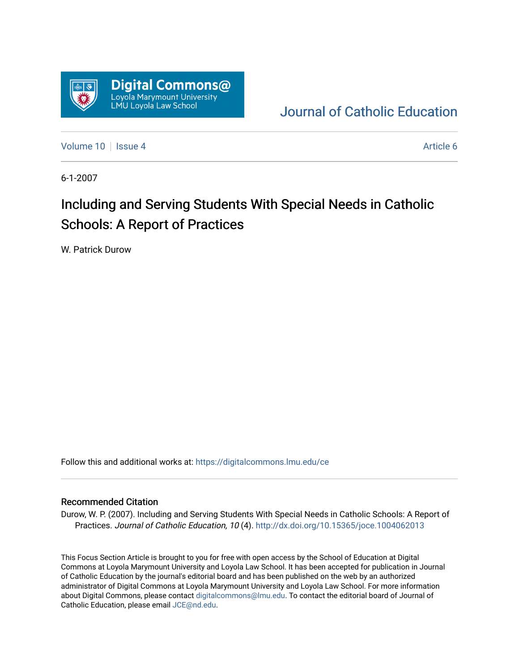

[Journal of Catholic Education](https://digitalcommons.lmu.edu/ce) 

[Volume 10](https://digitalcommons.lmu.edu/ce/vol10) | [Issue 4](https://digitalcommons.lmu.edu/ce/vol10/iss4) Article 6

6-1-2007

# Including and Serving Students With Special Needs in Catholic Schools: A Report of Practices

W. Patrick Durow

Follow this and additional works at: [https://digitalcommons.lmu.edu/ce](https://digitalcommons.lmu.edu/ce?utm_source=digitalcommons.lmu.edu%2Fce%2Fvol10%2Fiss4%2F6&utm_medium=PDF&utm_campaign=PDFCoverPages)

#### Recommended Citation

Durow, W. P. (2007). Including and Serving Students With Special Needs in Catholic Schools: A Report of Practices. Journal of Catholic Education, 10 (4). <http://dx.doi.org/10.15365/joce.1004062013>

This Focus Section Article is brought to you for free with open access by the School of Education at Digital Commons at Loyola Marymount University and Loyola Law School. It has been accepted for publication in Journal of Catholic Education by the journal's editorial board and has been published on the web by an authorized administrator of Digital Commons at Loyola Marymount University and Loyola Law School. For more information about Digital Commons, please contact [digitalcommons@lmu.edu](mailto:digitalcommons@lmu.edu). To contact the editorial board of Journal of Catholic Education, please email [JCE@nd.edu.](mailto:JCE@nd.edu)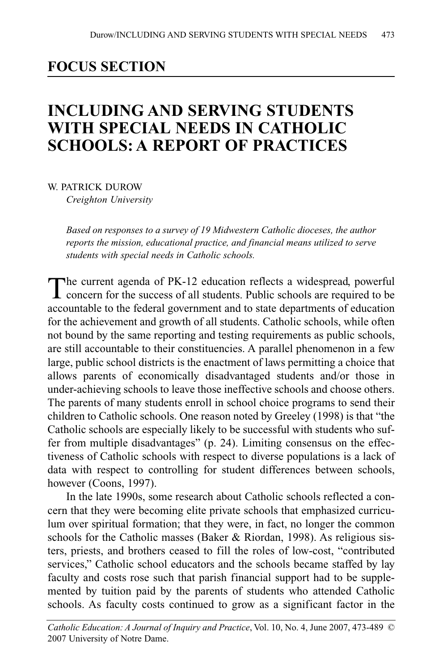# **FOCUS SECTION**

# **INCLUDING AND SERVING STUDENTS WITH SPECIAL NEEDS IN CATHOLIC SCHOOLS: A REPORT OF PRACTICES**

W. PATRICK DUROW *Creighton University*

> *Based on responses to a survey of 19 Midwestern Catholic dioceses, the author reports the mission, educational practice, and financial means utilized to serve students with special needs in Catholic schools.*

The current agenda of PK-12 education reflects a widespread, powerful concern for the success of all students. Public schools are required to be accountable to the federal government and to state departments of education for the achievement and growth of all students. Catholic schools, while often not bound by the same reporting and testing requirements as public schools, are still accountable to their constituencies. A parallel phenomenon in a few large, public school districts is the enactment of laws permitting a choice that allows parents of economically disadvantaged students and/or those in under-achieving schools to leave those ineffective schools and choose others. The parents of many students enroll in school choice programs to send their children to Catholic schools. One reason noted by Greeley (1998) is that "the Catholic schools are especially likely to be successful with students who suffer from multiple disadvantages" (p. 24). Limiting consensus on the effectiveness of Catholic schools with respect to diverse populations is a lack of data with respect to controlling for student differences between schools, however (Coons, 1997).

In the late 1990s, some research about Catholic schools reflected a concern that they were becoming elite private schools that emphasized curriculum over spiritual formation; that they were, in fact, no longer the common schools for the Catholic masses (Baker & Riordan, 1998). As religious sisters, priests, and brothers ceased to fill the roles of low-cost, "contributed services," Catholic school educators and the schools became staffed by lay faculty and costs rose such that parish financial support had to be supplemented by tuition paid by the parents of students who attended Catholic schools. As faculty costs continued to grow as a significant factor in the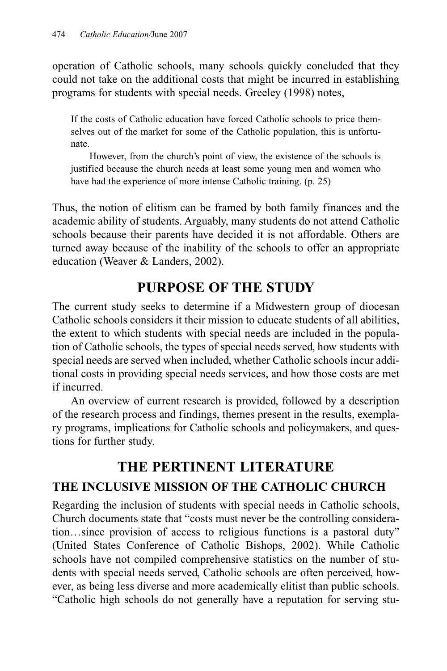operation of Catholic schools, many schools quickly concluded that they could not take on the additional costs that might be incurred in establishing programs for students with special needs. Greeley (1998) notes,

If the costs of Catholic education have forced Catholic schools to price themselves out of the market for some of the Catholic population, this is unfortunate.

However, from the church's point of view, the existence of the schools is justified because the church needs at least some young men and women who have had the experience of more intense Catholic training. (p. 25)

Thus, the notion of elitism can be framed by both family finances and the academic ability of students. Arguably, many students do not attend Catholic schools because their parents have decided it is not affordable. Others are turned away because of the inability of the schools to offer an appropriate education (Weaver & Landers, 2002).

# **PURPOSE OF THE STUDY**

The current study seeks to determine if a Midwestern group of diocesan Catholic schools considers it their mission to educate students of all abilities, the extent to which students with special needs are included in the population of Catholic schools, the types of special needs served, how students with special needs are served when included, whether Catholic schools incur additional costs in providing special needs services, and how those costs are met if incurred.

An overview of current research is provided, followed by a description of the research process and findings, themes present in the results, exemplary programs, implications for Catholic schools and policymakers, and questions for further study.

# **THE PERTINENT LITERATURE**

# **THE INCLUSIVE MISSION OF THE CATHOLIC CHURCH**

Regarding the inclusion of students with special needs in Catholic schools, Church documents state that "costs must never be the controlling consideration…since provision of access to religious functions is a pastoral duty" (United States Conference of Catholic Bishops, 2002). While Catholic schools have not compiled comprehensive statistics on the number of students with special needs served, Catholic schools are often perceived, however, as being less diverse and more academically elitist than public schools. "Catholic high schools do not generally have a reputation for serving stu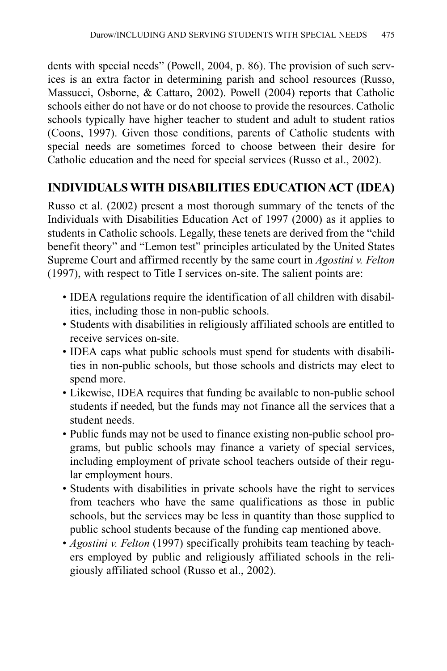dents with special needs" (Powell, 2004, p. 86). The provision of such services is an extra factor in determining parish and school resources (Russo, Massucci, Osborne, & Cattaro, 2002). Powell (2004) reports that Catholic schools either do not have or do not choose to provide the resources. Catholic schools typically have higher teacher to student and adult to student ratios (Coons, 1997). Given those conditions, parents of Catholic students with special needs are sometimes forced to choose between their desire for Catholic education and the need for special services (Russo et al., 2002).

### **INDIVIDUALS WITH DISABILITIES EDUCATION ACT (IDEA)**

Russo et al. (2002) present a most thorough summary of the tenets of the Individuals with Disabilities Education Act of 1997 (2000) as it applies to students in Catholic schools. Legally, these tenets are derived from the "child benefit theory" and "Lemon test" principles articulated by the United States Supreme Court and affirmed recently by the same court in *Agostini v. Felton* (1997), with respect to Title I services on-site. The salient points are:

- IDEA regulations require the identification of all children with disabilities, including those in non-public schools.
- Students with disabilities in religiously affiliated schools are entitled to receive services on-site.
- IDEA caps what public schools must spend for students with disabilities in non-public schools, but those schools and districts may elect to spend more.
- Likewise, IDEA requires that funding be available to non-public school students if needed, but the funds may not finance all the services that a student needs.
- Public funds may not be used to finance existing non-public school programs, but public schools may finance a variety of special services, including employment of private school teachers outside of their regular employment hours.
- Students with disabilities in private schools have the right to services from teachers who have the same qualifications as those in public schools, but the services may be less in quantity than those supplied to public school students because of the funding cap mentioned above.
- *Agostini v. Felton* (1997) specifically prohibits team teaching by teachers employed by public and religiously affiliated schools in the religiously affiliated school (Russo et al., 2002).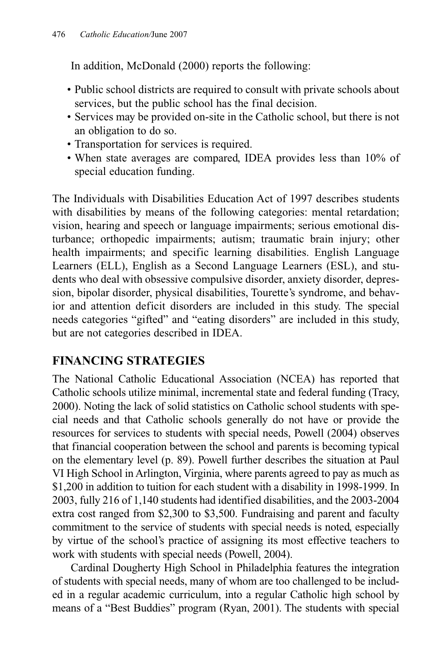In addition, McDonald (2000) reports the following:

- Public school districts are required to consult with private schools about services, but the public school has the final decision.
- Services may be provided on-site in the Catholic school, but there is not an obligation to do so.
- Transportation for services is required.
- When state averages are compared, IDEA provides less than 10% of special education funding.

The Individuals with Disabilities Education Act of 1997 describes students with disabilities by means of the following categories: mental retardation; vision, hearing and speech or language impairments; serious emotional disturbance; orthopedic impairments; autism; traumatic brain injury; other health impairments; and specific learning disabilities. English Language Learners (ELL), English as a Second Language Learners (ESL), and students who deal with obsessive compulsive disorder, anxiety disorder, depression, bipolar disorder, physical disabilities, Tourette's syndrome, and behavior and attention deficit disorders are included in this study. The special needs categories "gifted" and "eating disorders" are included in this study, but are not categories described in IDEA.

# **FINANCING STRATEGIES**

The National Catholic Educational Association (NCEA) has reported that Catholic schools utilize minimal, incremental state and federal funding (Tracy, 2000). Noting the lack of solid statistics on Catholic school students with special needs and that Catholic schools generally do not have or provide the resources for services to students with special needs, Powell (2004) observes that financial cooperation between the school and parents is becoming typical on the elementary level (p. 89). Powell further describes the situation at Paul VI High School in Arlington, Virginia, where parents agreed to pay as much as \$1,200 in addition to tuition for each student with a disability in 1998-1999. In 2003, fully 216 of 1,140 students had identified disabilities, and the 2003-2004 extra cost ranged from \$2,300 to \$3,500. Fundraising and parent and faculty commitment to the service of students with special needs is noted, especially by virtue of the school's practice of assigning its most effective teachers to work with students with special needs (Powell, 2004).

Cardinal Dougherty High School in Philadelphia features the integration of students with special needs, many of whom are too challenged to be included in a regular academic curriculum, into a regular Catholic high school by means of a "Best Buddies" program (Ryan, 2001). The students with special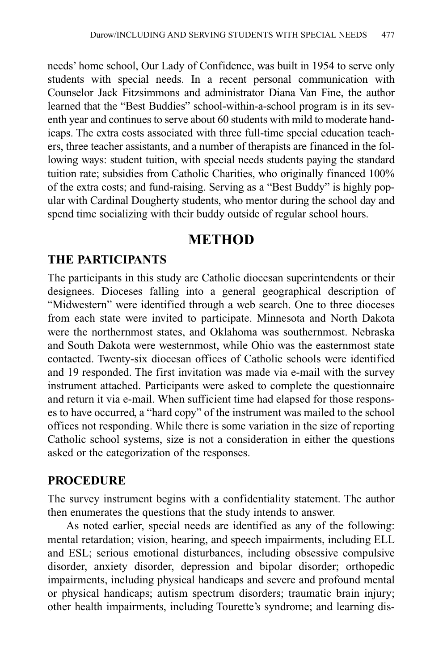needs' home school, Our Lady of Confidence, was built in 1954 to serve only students with special needs. In a recent personal communication with Counselor Jack Fitzsimmons and administrator Diana Van Fine, the author learned that the "Best Buddies" school-within-a-school program is in its seventh year and continues to serve about 60 students with mild to moderate handicaps. The extra costs associated with three full-time special education teachers, three teacher assistants, and a number of therapists are financed in the following ways: student tuition, with special needs students paying the standard tuition rate; subsidies from Catholic Charities, who originally financed 100% of the extra costs; and fund-raising. Serving as a "Best Buddy" is highly popular with Cardinal Dougherty students, who mentor during the school day and spend time socializing with their buddy outside of regular school hours.

### **METHOD**

### **THE PARTICIPANTS**

The participants in this study are Catholic diocesan superintendents or their designees. Dioceses falling into a general geographical description of "Midwestern" were identified through a web search. One to three dioceses from each state were invited to participate. Minnesota and North Dakota were the northernmost states, and Oklahoma was southernmost. Nebraska and South Dakota were westernmost, while Ohio was the easternmost state contacted. Twenty-six diocesan offices of Catholic schools were identified and 19 responded. The first invitation was made via e-mail with the survey instrument attached. Participants were asked to complete the questionnaire and return it via e-mail. When sufficient time had elapsed for those responses to have occurred, a "hard copy" of the instrument was mailed to the school offices not responding. While there is some variation in the size of reporting Catholic school systems, size is not a consideration in either the questions asked or the categorization of the responses.

### **PROCEDURE**

The survey instrument begins with a confidentiality statement. The author then enumerates the questions that the study intends to answer.

As noted earlier, special needs are identified as any of the following: mental retardation; vision, hearing, and speech impairments, including ELL and ESL; serious emotional disturbances, including obsessive compulsive disorder, anxiety disorder, depression and bipolar disorder; orthopedic impairments, including physical handicaps and severe and profound mental or physical handicaps; autism spectrum disorders; traumatic brain injury; other health impairments, including Tourette's syndrome; and learning dis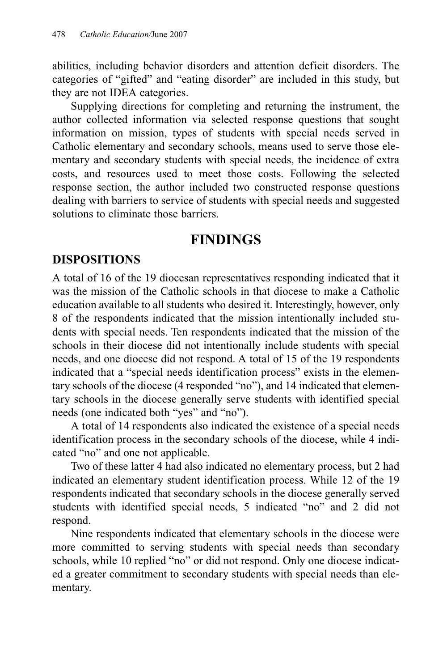abilities, including behavior disorders and attention deficit disorders. The categories of "gifted" and "eating disorder" are included in this study, but they are not IDEA categories.

Supplying directions for completing and returning the instrument, the author collected information via selected response questions that sought information on mission, types of students with special needs served in Catholic elementary and secondary schools, means used to serve those elementary and secondary students with special needs, the incidence of extra costs, and resources used to meet those costs. Following the selected response section, the author included two constructed response questions dealing with barriers to service of students with special needs and suggested solutions to eliminate those barriers.

### **FINDINGS**

### **DISPOSITIONS**

A total of 16 of the 19 diocesan representatives responding indicated that it was the mission of the Catholic schools in that diocese to make a Catholic education available to all students who desired it. Interestingly, however, only 8 of the respondents indicated that the mission intentionally included students with special needs. Ten respondents indicated that the mission of the schools in their diocese did not intentionally include students with special needs, and one diocese did not respond. A total of 15 of the 19 respondents indicated that a "special needs identification process" exists in the elementary schools of the diocese (4 responded "no"), and 14 indicated that elementary schools in the diocese generally serve students with identified special needs (one indicated both "yes" and "no").

A total of 14 respondents also indicated the existence of a special needs identification process in the secondary schools of the diocese, while 4 indicated "no" and one not applicable.

Two of these latter 4 had also indicated no elementary process, but 2 had indicated an elementary student identification process. While 12 of the 19 respondents indicated that secondary schools in the diocese generally served students with identified special needs, 5 indicated "no" and 2 did not respond.

Nine respondents indicated that elementary schools in the diocese were more committed to serving students with special needs than secondary schools, while 10 replied "no" or did not respond. Only one diocese indicated a greater commitment to secondary students with special needs than elementary.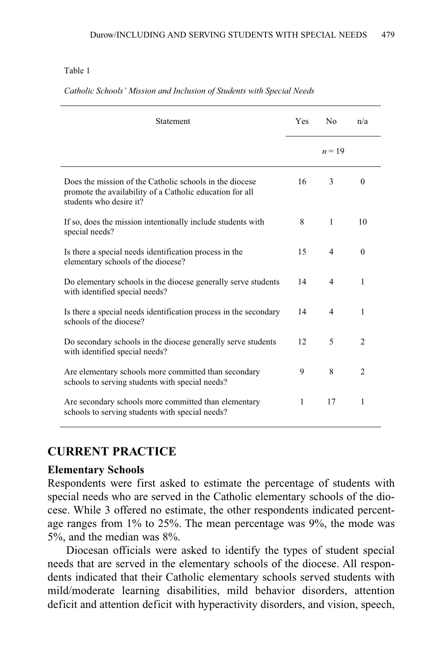#### Table 1

| Statement                                                                                                                                      | Yes          | N <sub>0</sub> | n/a            |
|------------------------------------------------------------------------------------------------------------------------------------------------|--------------|----------------|----------------|
|                                                                                                                                                |              | $n = 19$       |                |
| Does the mission of the Catholic schools in the diocese<br>promote the availability of a Catholic education for all<br>students who desire it? | 16           | 3              | $\Omega$       |
| If so, does the mission intentionally include students with<br>special needs?                                                                  | 8            | 1              | 10             |
| Is there a special needs identification process in the<br>elementary schools of the diocese?                                                   | 15           | 4              | $\theta$       |
| Do elementary schools in the diocese generally serve students<br>with identified special needs?                                                | 14           | 4              | 1              |
| Is there a special needs identification process in the secondary<br>schools of the diocese?                                                    | 14           | $\overline{4}$ | 1              |
| Do secondary schools in the diocese generally serve students<br>with identified special needs?                                                 | 12           | 5              | $\overline{c}$ |
| Are elementary schools more committed than secondary<br>schools to serving students with special needs?                                        | 9            | 8              | $\mathfrak{D}$ |
| Are secondary schools more committed than elementary<br>schools to serving students with special needs?                                        | $\mathbf{1}$ | 17             | 1              |

#### *Catholic Schools' Mission and Inclusion of Students with Special Needs*

#### **CURRENT PRACTICE**

#### **Elementary Schools**

Respondents were first asked to estimate the percentage of students with special needs who are served in the Catholic elementary schools of the diocese. While 3 offered no estimate, the other respondents indicated percentage ranges from 1% to 25%. The mean percentage was 9%, the mode was 5%, and the median was 8%.

Diocesan officials were asked to identify the types of student special needs that are served in the elementary schools of the diocese. All respondents indicated that their Catholic elementary schools served students with mild/moderate learning disabilities, mild behavior disorders, attention deficit and attention deficit with hyperactivity disorders, and vision, speech,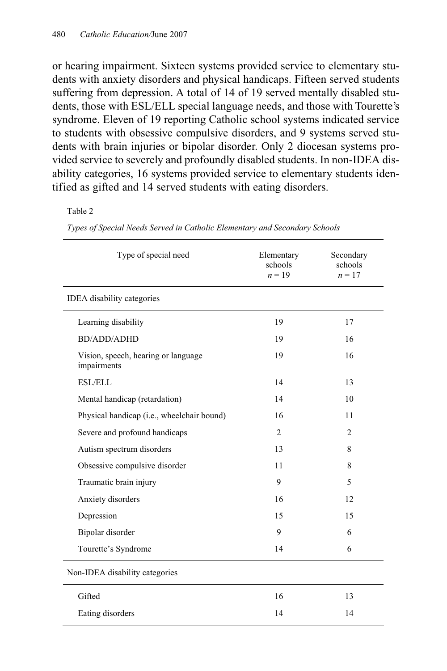or hearing impairment. Sixteen systems provided service to elementary students with anxiety disorders and physical handicaps. Fifteen served students suffering from depression. A total of 14 of 19 served mentally disabled students, those with ESL/ELL special language needs, and those with Tourette's syndrome. Eleven of 19 reporting Catholic school systems indicated service to students with obsessive compulsive disorders, and 9 systems served students with brain injuries or bipolar disorder. Only 2 diocesan systems provided service to severely and profoundly disabled students. In non-IDEA disability categories, 16 systems provided service to elementary students identified as gifted and 14 served students with eating disorders.

#### Table 2

*Types of Special Needs Served in Catholic Elementary and Secondary Schools* 

| Type of special need                               | Elementary<br>schools<br>$n = 19$ | Secondary<br>schools<br>$n = 17$ |
|----------------------------------------------------|-----------------------------------|----------------------------------|
| <b>IDEA</b> disability categories                  |                                   |                                  |
| Learning disability                                | 19                                | 17                               |
| <b>BD/ADD/ADHD</b>                                 | 19                                | 16                               |
| Vision, speech, hearing or language<br>impairments | 19                                | 16                               |
| <b>ESL/ELL</b>                                     | 14                                | 13                               |
| Mental handicap (retardation)                      | 14                                | 10                               |
| Physical handicap (i.e., wheelchair bound)         | 16                                | 11                               |
| Severe and profound handicaps                      | 2                                 | 2                                |
| Autism spectrum disorders                          | 13                                | 8                                |
| Obsessive compulsive disorder                      | 11                                | 8                                |
| Traumatic brain injury                             | 9                                 | 5                                |
| Anxiety disorders                                  | 16                                | 12                               |
| Depression                                         | 15                                | 15                               |
| Bipolar disorder                                   | 9                                 | 6                                |
| Tourette's Syndrome                                | 14                                | 6                                |
| Non-IDEA disability categories                     |                                   |                                  |
| Gifted                                             | 16                                | 13                               |
| Eating disorders                                   | 14                                | 14                               |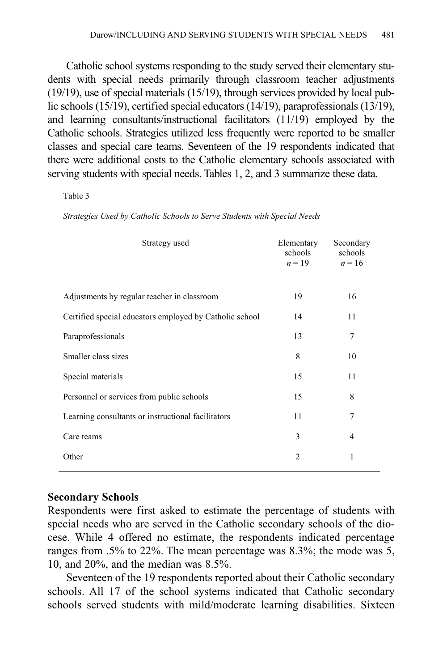Catholic school systems responding to the study served their elementary students with special needs primarily through classroom teacher adjustments (19/19), use of special materials (15/19), through services provided by local public schools (15/19), certified special educators (14/19), paraprofessionals (13/19), and learning consultants/instructional facilitators (11/19) employed by the Catholic schools. Strategies utilized less frequently were reported to be smaller classes and special care teams. Seventeen of the 19 respondents indicated that there were additional costs to the Catholic elementary schools associated with serving students with special needs. Tables 1, 2, and 3 summarize these data.

#### Table 3

| Strategy used                                           | Elementary<br>schools<br>$n = 19$ | Secondary<br>schools<br>$n = 16$ |
|---------------------------------------------------------|-----------------------------------|----------------------------------|
| Adjustments by regular teacher in classroom             | 19                                | 16                               |
| Certified special educators employed by Catholic school | 14                                | 11                               |
| Paraprofessionals                                       | 13                                | 7                                |
| Smaller class sizes                                     | 8                                 | 10                               |
| Special materials                                       | 15                                | 11                               |
| Personnel or services from public schools               | 15                                | 8                                |
| Learning consultants or instructional facilitators      | 11                                | 7                                |
| Care teams                                              | 3                                 | $\overline{4}$                   |
| Other                                                   | $\overline{2}$                    | 1                                |
|                                                         |                                   |                                  |

*Strategies Used by Catholic Schools to Serve Students with Special Needs*

#### **Secondary Schools**

Respondents were first asked to estimate the percentage of students with special needs who are served in the Catholic secondary schools of the diocese. While 4 offered no estimate, the respondents indicated percentage ranges from .5% to 22%. The mean percentage was 8.3%; the mode was 5, 10, and 20%, and the median was 8.5%.

Seventeen of the 19 respondents reported about their Catholic secondary schools. All 17 of the school systems indicated that Catholic secondary schools served students with mild/moderate learning disabilities. Sixteen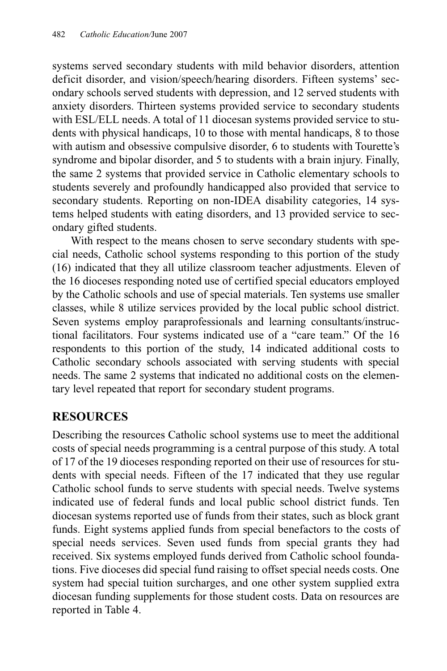systems served secondary students with mild behavior disorders, attention deficit disorder, and vision/speech/hearing disorders. Fifteen systems' secondary schools served students with depression, and 12 served students with anxiety disorders. Thirteen systems provided service to secondary students with ESL/ELL needs. A total of 11 diocesan systems provided service to students with physical handicaps, 10 to those with mental handicaps, 8 to those with autism and obsessive compulsive disorder, 6 to students with Tourette's syndrome and bipolar disorder, and 5 to students with a brain injury. Finally, the same 2 systems that provided service in Catholic elementary schools to students severely and profoundly handicapped also provided that service to secondary students. Reporting on non-IDEA disability categories, 14 systems helped students with eating disorders, and 13 provided service to secondary gifted students.

With respect to the means chosen to serve secondary students with special needs, Catholic school systems responding to this portion of the study (16) indicated that they all utilize classroom teacher adjustments. Eleven of the 16 dioceses responding noted use of certified special educators employed by the Catholic schools and use of special materials. Ten systems use smaller classes, while 8 utilize services provided by the local public school district. Seven systems employ paraprofessionals and learning consultants/instructional facilitators. Four systems indicated use of a "care team." Of the 16 respondents to this portion of the study, 14 indicated additional costs to Catholic secondary schools associated with serving students with special needs. The same 2 systems that indicated no additional costs on the elementary level repeated that report for secondary student programs.

### **RESOURCES**

Describing the resources Catholic school systems use to meet the additional costs of special needs programming is a central purpose of this study. A total of 17 of the 19 dioceses responding reported on their use of resources for students with special needs. Fifteen of the 17 indicated that they use regular Catholic school funds to serve students with special needs. Twelve systems indicated use of federal funds and local public school district funds. Ten diocesan systems reported use of funds from their states, such as block grant funds. Eight systems applied funds from special benefactors to the costs of special needs services. Seven used funds from special grants they had received. Six systems employed funds derived from Catholic school foundations. Five dioceses did special fund raising to offset special needs costs. One system had special tuition surcharges, and one other system supplied extra diocesan funding supplements for those student costs. Data on resources are reported in Table 4.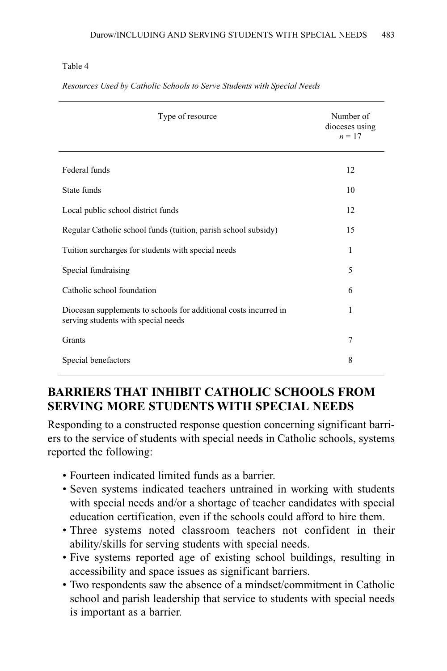#### Table 4

| Type of resource                                                                                        | Number of<br>dioceses using<br>$n=17$ |
|---------------------------------------------------------------------------------------------------------|---------------------------------------|
| Federal funds                                                                                           | 12                                    |
| State funds                                                                                             | 10                                    |
| Local public school district funds                                                                      | 12                                    |
| Regular Catholic school funds (tuition, parish school subsidy)                                          | 15                                    |
| Tuition surcharges for students with special needs                                                      | 1                                     |
| Special fundraising                                                                                     | 5                                     |
| Catholic school foundation                                                                              | 6                                     |
| Diocesan supplements to schools for additional costs incurred in<br>serving students with special needs | 1                                     |
| Grants                                                                                                  | 7                                     |
| Special benefactors                                                                                     | 8                                     |

*Resources Used by Catholic Schools to Serve Students with Special Needs*

# **BARRIERS THAT INHIBIT CATHOLIC SCHOOLS FROM SERVING MORE STUDENTS WITH SPECIAL NEEDS**

Responding to a constructed response question concerning significant barriers to the service of students with special needs in Catholic schools, systems reported the following:

- Fourteen indicated limited funds as a barrier.
- Seven systems indicated teachers untrained in working with students with special needs and/or a shortage of teacher candidates with special education certification, even if the schools could afford to hire them.
- Three systems noted classroom teachers not confident in their ability/skills for serving students with special needs.
- Five systems reported age of existing school buildings, resulting in accessibility and space issues as significant barriers.
- Two respondents saw the absence of a mindset/commitment in Catholic school and parish leadership that service to students with special needs is important as a barrier.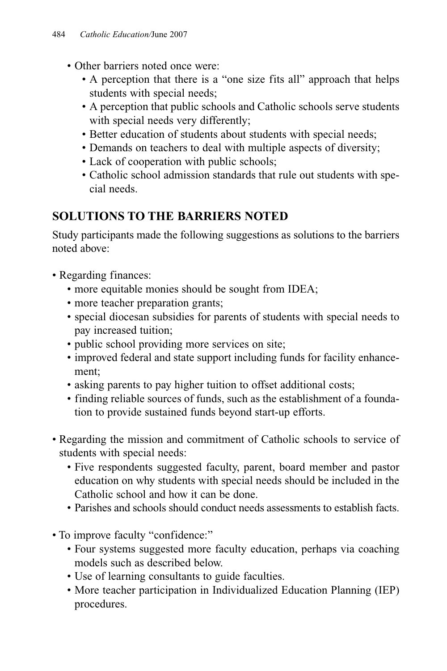- Other barriers noted once were:
	- A perception that there is a "one size fits all" approach that helps students with special needs;
	- A perception that public schools and Catholic schools serve students with special needs very differently;
	- Better education of students about students with special needs;
	- Demands on teachers to deal with multiple aspects of diversity;
	- Lack of cooperation with public schools;
	- Catholic school admission standards that rule out students with special needs.

# **SOLUTIONS TO THE BARRIERS NOTED**

Study participants made the following suggestions as solutions to the barriers noted above:

- Regarding finances:
	- more equitable monies should be sought from IDEA;
	- more teacher preparation grants:
	- special diocesan subsidies for parents of students with special needs to pay increased tuition;
	- public school providing more services on site;
	- improved federal and state support including funds for facility enhancement;
	- asking parents to pay higher tuition to offset additional costs;
	- finding reliable sources of funds, such as the establishment of a foundation to provide sustained funds beyond start-up efforts.
- Regarding the mission and commitment of Catholic schools to service of students with special needs:
	- Five respondents suggested faculty, parent, board member and pastor education on why students with special needs should be included in the Catholic school and how it can be done.
	- Parishes and schools should conduct needs assessments to establish facts.
- To improve faculty "confidence:"
	- Four systems suggested more faculty education, perhaps via coaching models such as described below.
	- Use of learning consultants to guide faculties.
	- More teacher participation in Individualized Education Planning (IEP) procedures.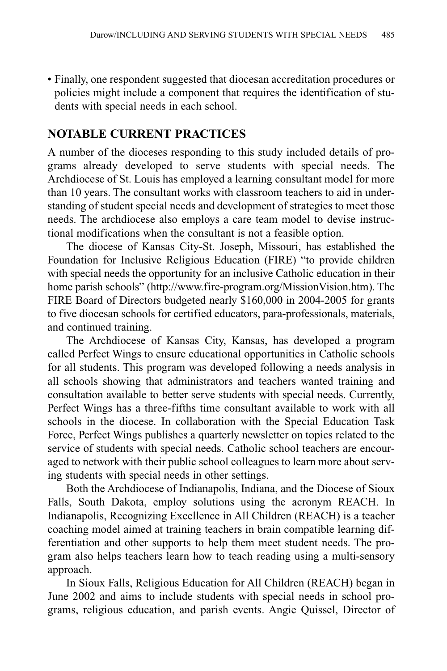• Finally, one respondent suggested that diocesan accreditation procedures or policies might include a component that requires the identification of students with special needs in each school.

### **NOTABLE CURRENT PRACTICES**

A number of the dioceses responding to this study included details of programs already developed to serve students with special needs. The Archdiocese of St. Louis has employed a learning consultant model for more than 10 years. The consultant works with classroom teachers to aid in understanding of student special needs and development of strategies to meet those needs. The archdiocese also employs a care team model to devise instructional modifications when the consultant is not a feasible option.

The diocese of Kansas City-St. Joseph, Missouri, has established the Foundation for Inclusive Religious Education (FIRE) "to provide children with special needs the opportunity for an inclusive Catholic education in their home parish schools" (http://www.fire-program.org/MissionVision.htm). The FIRE Board of Directors budgeted nearly \$160,000 in 2004-2005 for grants to five diocesan schools for certified educators, para-professionals, materials, and continued training.

The Archdiocese of Kansas City, Kansas, has developed a program called Perfect Wings to ensure educational opportunities in Catholic schools for all students. This program was developed following a needs analysis in all schools showing that administrators and teachers wanted training and consultation available to better serve students with special needs. Currently, Perfect Wings has a three-fifths time consultant available to work with all schools in the diocese. In collaboration with the Special Education Task Force, Perfect Wings publishes a quarterly newsletter on topics related to the service of students with special needs. Catholic school teachers are encouraged to network with their public school colleagues to learn more about serving students with special needs in other settings.

Both the Archdiocese of Indianapolis, Indiana, and the Diocese of Sioux Falls, South Dakota, employ solutions using the acronym REACH. In Indianapolis, Recognizing Excellence in All Children (REACH) is a teacher coaching model aimed at training teachers in brain compatible learning differentiation and other supports to help them meet student needs. The program also helps teachers learn how to teach reading using a multi-sensory approach.

In Sioux Falls, Religious Education for All Children (REACH) began in June 2002 and aims to include students with special needs in school programs, religious education, and parish events. Angie Quissel, Director of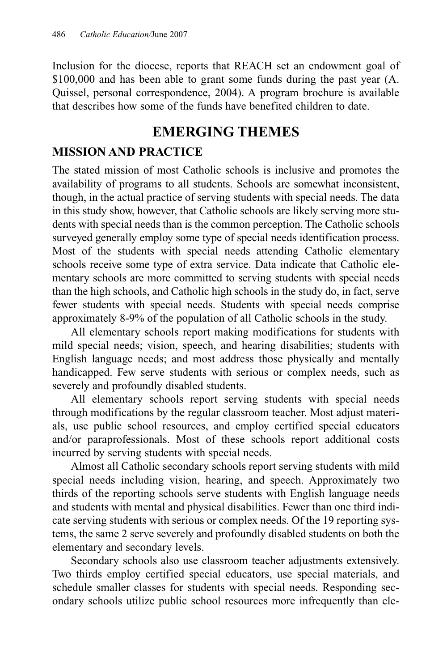Inclusion for the diocese, reports that REACH set an endowment goal of \$100,000 and has been able to grant some funds during the past year (A. Quissel, personal correspondence, 2004). A program brochure is available that describes how some of the funds have benefited children to date.

# **EMERGING THEMES**

### **MISSION AND PRACTICE**

The stated mission of most Catholic schools is inclusive and promotes the availability of programs to all students. Schools are somewhat inconsistent, though, in the actual practice of serving students with special needs. The data in this study show, however, that Catholic schools are likely serving more students with special needs than is the common perception. The Catholic schools surveyed generally employ some type of special needs identification process. Most of the students with special needs attending Catholic elementary schools receive some type of extra service. Data indicate that Catholic elementary schools are more committed to serving students with special needs than the high schools, and Catholic high schools in the study do, in fact, serve fewer students with special needs. Students with special needs comprise approximately 8-9% of the population of all Catholic schools in the study.

All elementary schools report making modifications for students with mild special needs; vision, speech, and hearing disabilities; students with English language needs; and most address those physically and mentally handicapped. Few serve students with serious or complex needs, such as severely and profoundly disabled students.

All elementary schools report serving students with special needs through modifications by the regular classroom teacher. Most adjust materials, use public school resources, and employ certified special educators and/or paraprofessionals. Most of these schools report additional costs incurred by serving students with special needs.

Almost all Catholic secondary schools report serving students with mild special needs including vision, hearing, and speech. Approximately two thirds of the reporting schools serve students with English language needs and students with mental and physical disabilities. Fewer than one third indicate serving students with serious or complex needs. Of the 19 reporting systems, the same 2 serve severely and profoundly disabled students on both the elementary and secondary levels.

Secondary schools also use classroom teacher adjustments extensively. Two thirds employ certified special educators, use special materials, and schedule smaller classes for students with special needs. Responding secondary schools utilize public school resources more infrequently than ele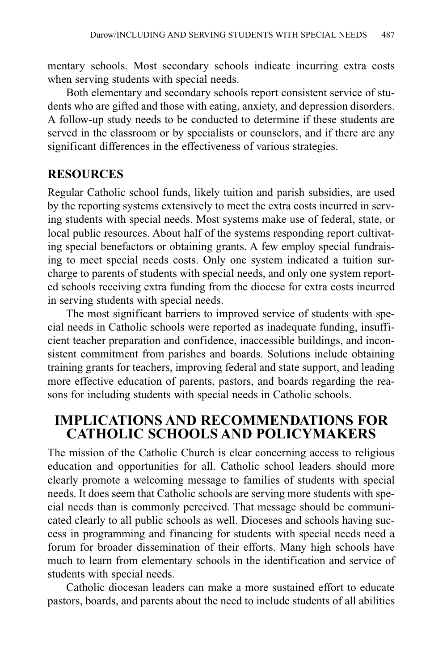mentary schools. Most secondary schools indicate incurring extra costs when serving students with special needs.

Both elementary and secondary schools report consistent service of students who are gifted and those with eating, anxiety, and depression disorders. A follow-up study needs to be conducted to determine if these students are served in the classroom or by specialists or counselors, and if there are any significant differences in the effectiveness of various strategies.

### **RESOURCES**

Regular Catholic school funds, likely tuition and parish subsidies, are used by the reporting systems extensively to meet the extra costs incurred in serving students with special needs. Most systems make use of federal, state, or local public resources. About half of the systems responding report cultivating special benefactors or obtaining grants. A few employ special fundraising to meet special needs costs. Only one system indicated a tuition surcharge to parents of students with special needs, and only one system reported schools receiving extra funding from the diocese for extra costs incurred in serving students with special needs.

The most significant barriers to improved service of students with special needs in Catholic schools were reported as inadequate funding, insufficient teacher preparation and confidence, inaccessible buildings, and inconsistent commitment from parishes and boards. Solutions include obtaining training grants for teachers, improving federal and state support, and leading more effective education of parents, pastors, and boards regarding the reasons for including students with special needs in Catholic schools.

# **IMPLICATIONS AND RECOMMENDATIONS FOR CATHOLIC SCHOOLS AND POLICYMAKERS**

The mission of the Catholic Church is clear concerning access to religious education and opportunities for all. Catholic school leaders should more clearly promote a welcoming message to families of students with special needs. It does seem that Catholic schools are serving more students with special needs than is commonly perceived. That message should be communicated clearly to all public schools as well. Dioceses and schools having success in programming and financing for students with special needs need a forum for broader dissemination of their efforts. Many high schools have much to learn from elementary schools in the identification and service of students with special needs.

Catholic diocesan leaders can make a more sustained effort to educate pastors, boards, and parents about the need to include students of all abilities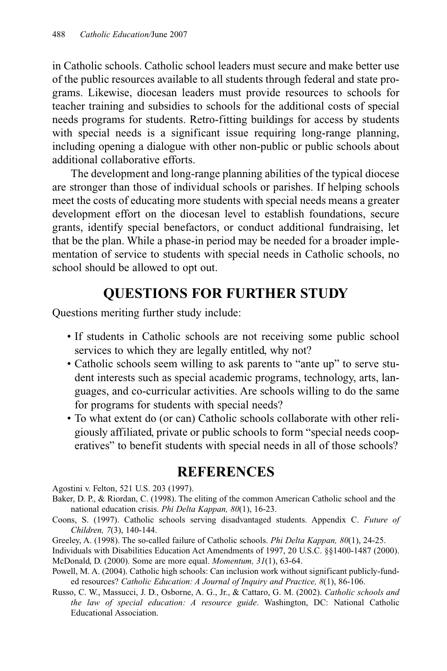in Catholic schools. Catholic school leaders must secure and make better use of the public resources available to all students through federal and state programs. Likewise, diocesan leaders must provide resources to schools for teacher training and subsidies to schools for the additional costs of special needs programs for students. Retro-fitting buildings for access by students with special needs is a significant issue requiring long-range planning, including opening a dialogue with other non-public or public schools about additional collaborative efforts.

The development and long-range planning abilities of the typical diocese are stronger than those of individual schools or parishes. If helping schools meet the costs of educating more students with special needs means a greater development effort on the diocesan level to establish foundations, secure grants, identify special benefactors, or conduct additional fundraising, let that be the plan. While a phase-in period may be needed for a broader implementation of service to students with special needs in Catholic schools, no school should be allowed to opt out.

# **QUESTIONS FOR FURTHER STUDY**

Questions meriting further study include:

- If students in Catholic schools are not receiving some public school services to which they are legally entitled, why not?
- Catholic schools seem willing to ask parents to "ante up" to serve student interests such as special academic programs, technology, arts, languages, and co-curricular activities. Are schools willing to do the same for programs for students with special needs?
- To what extent do (or can) Catholic schools collaborate with other religiously affiliated, private or public schools to form "special needs cooperatives" to benefit students with special needs in all of those schools?

# **REFERENCES**

Agostini v. Felton, 521 U.S. 203 (1997).

- Baker, D. P., & Riordan, C. (1998). The eliting of the common American Catholic school and the national education crisis. *Phi Delta Kappan, 80*(1), 16-23.
- Coons, S. (1997). Catholic schools serving disadvantaged students. Appendix C. *Future of Children, 7*(3), 140-144.
- Greeley, A. (1998). The so-called failure of Catholic schools. *Phi Delta Kappan, 80*(1), 24-25.
- Individuals with Disabilities Education Act Amendments of 1997, 20 U.S.C. §§1400-1487 (2000). McDonald, D. (2000). Some are more equal. *Momentum, 31*(1), 63-64.
- Powell, M. A. (2004). Catholic high schools: Can inclusion work without significant publicly-funded resources? *Catholic Education: A Journal of Inquiry and Practice, 8*(1), 86-106.
- Russo, C. W., Massucci, J. D., Osborne, A. G., Jr., & Cattaro, G. M. (2002). *Catholic schools and the law of special education: A resource guide*. Washington, DC: National Catholic Educational Association.